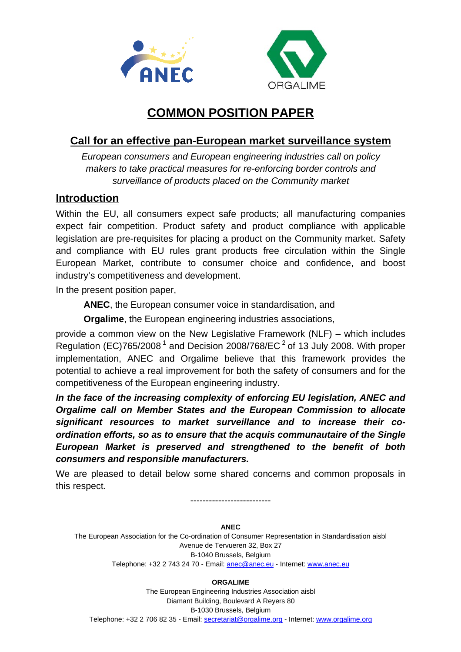



# **COMMON POSITION PAPER**

## **Call for an effective pan-European market surveillance system**

*European consumers and European engineering industries call on policy makers to take practical measures for re-enforcing border controls and surveillance of products placed on the Community market* 

## **Introduction**

Within the EU, all consumers expect safe products; all manufacturing companies expect fair competition. Product safety and product compliance with applicable legislation are pre-requisites for placing a product on the Community market. Safety and compliance with EU rules grant products free circulation within the Single European Market, contribute to consumer choice and confidence, and boost industry's competitiveness and development.

In the present position paper,

**ANEC**, the European consumer voice in standardisation, and

**Orgalime**, the European engineering industries associations,

provide a common view on the New Legislative Framework (NLF) – which includes Regulation (EC)765/2008<sup>1</sup> and Decision 2008/768/EC<sup>2</sup> of 13 July 2008. With proper implementation, ANEC and Orgalime believe that this framework provides the potential to achieve a real improvement for both the safety of consumers and for the competitiveness of the European engineering industry.

*In the face of the increasing complexity of enforcing EU legislation, ANEC and Orgalime call on Member States and the European Commission to allocate significant resources to market surveillance and to increase their coordination efforts, so as to ensure that the acquis communautaire of the Single European Market is preserved and strengthened to the benefit of both consumers and responsible manufacturers.* 

We are pleased to detail below some shared concerns and common proposals in this respect.

--------------------------

#### **ANEC**

The European Association for the Co-ordination of Consumer Representation in Standardisation aisbl Avenue de Tervueren 32, Box 27 B-1040 Brussels, Belgium Telephone: +32 2 743 24 70 - Email: anec@anec.eu - Internet: www.anec.eu

**ORGALIME** 

The European Engineering Industries Association aisbl Diamant Building, Boulevard A Reyers 80 B-1030 Brussels, Belgium Telephone: +32 2 706 82 35 - Email: secretariat@orgalime.org - Internet: www.orgalime.org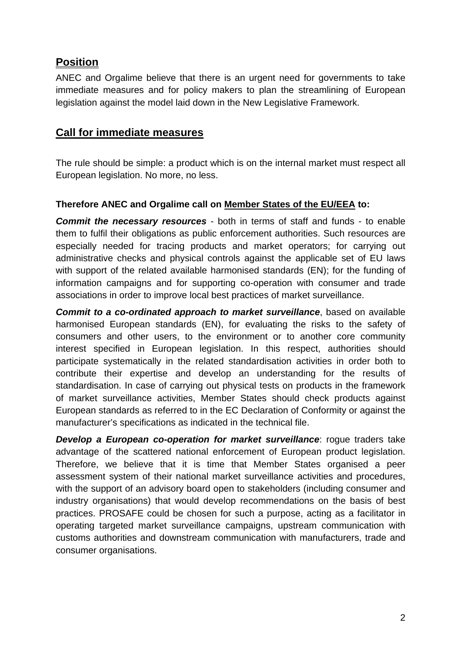## **Position**

ANEC and Orgalime believe that there is an urgent need for governments to take immediate measures and for policy makers to plan the streamlining of European legislation against the model laid down in the New Legislative Framework.

## **Call for immediate measures**

The rule should be simple: a product which is on the internal market must respect all European legislation. No more, no less.

### **Therefore ANEC and Orgalime call on Member States of the EU/EEA to:**

*Commit the necessary resources* - both in terms of staff and funds - to enable them to fulfil their obligations as public enforcement authorities. Such resources are especially needed for tracing products and market operators; for carrying out administrative checks and physical controls against the applicable set of EU laws with support of the related available harmonised standards (EN); for the funding of information campaigns and for supporting co-operation with consumer and trade associations in order to improve local best practices of market surveillance.

*Commit to a co-ordinated approach to market surveillance*, based on available harmonised European standards (EN), for evaluating the risks to the safety of consumers and other users, to the environment or to another core community interest specified in European legislation. In this respect, authorities should participate systematically in the related standardisation activities in order both to contribute their expertise and develop an understanding for the results of standardisation. In case of carrying out physical tests on products in the framework of market surveillance activities, Member States should check products against European standards as referred to in the EC Declaration of Conformity or against the manufacturer's specifications as indicated in the technical file.

*Develop a European co-operation for market surveillance*: rogue traders take advantage of the scattered national enforcement of European product legislation. Therefore, we believe that it is time that Member States organised a peer assessment system of their national market surveillance activities and procedures, with the support of an advisory board open to stakeholders (including consumer and industry organisations) that would develop recommendations on the basis of best practices. PROSAFE could be chosen for such a purpose, acting as a facilitator in operating targeted market surveillance campaigns, upstream communication with customs authorities and downstream communication with manufacturers, trade and consumer organisations.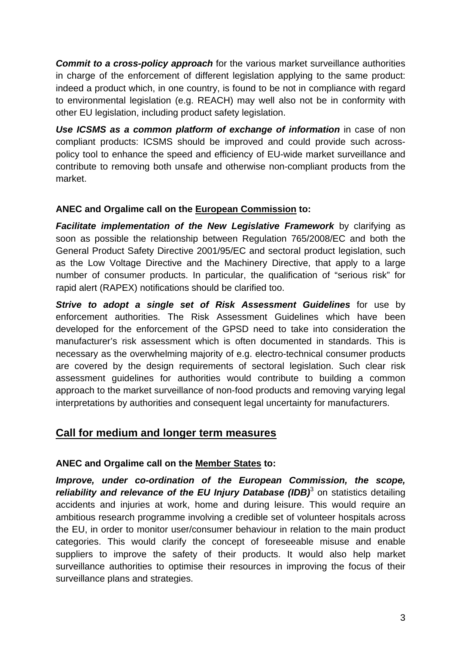*Commit to a cross-policy approach* for the various market surveillance authorities in charge of the enforcement of different legislation applying to the same product: indeed a product which, in one country, is found to be not in compliance with regard to environmental legislation (e.g. REACH) may well also not be in conformity with other EU legislation, including product safety legislation.

*Use ICSMS as a common platform of exchange of information* in case of non compliant products: ICSMS should be improved and could provide such acrosspolicy tool to enhance the speed and efficiency of EU-wide market surveillance and contribute to removing both unsafe and otherwise non-compliant products from the market.

### **ANEC and Orgalime call on the European Commission to:**

*Facilitate implementation of the New Legislative Framework* by clarifying as soon as possible the relationship between Regulation 765/2008/EC and both the General Product Safety Directive 2001/95/EC and sectoral product legislation, such as the Low Voltage Directive and the Machinery Directive, that apply to a large number of consumer products. In particular, the qualification of "serious risk" for rapid alert (RAPEX) notifications should be clarified too.

*Strive to adopt a single set of Risk Assessment Guidelines* for use by enforcement authorities. The Risk Assessment Guidelines which have been developed for the enforcement of the GPSD need to take into consideration the manufacturer's risk assessment which is often documented in standards. This is necessary as the overwhelming majority of e.g. electro-technical consumer products are covered by the design requirements of sectoral legislation. Such clear risk assessment guidelines for authorities would contribute to building a common approach to the market surveillance of non-food products and removing varying legal interpretations by authorities and consequent legal uncertainty for manufacturers.

### **Call for medium and longer term measures**

### **ANEC and Orgalime call on the Member States to:**

*Improve, under co-ordination of the European Commission, the scope,*  reliability and relevance of the EU Injury Database (IDB)<sup>3</sup> on statistics detailing accidents and injuries at work, home and during leisure. This would require an ambitious research programme involving a credible set of volunteer hospitals across the EU, in order to monitor user/consumer behaviour in relation to the main product categories. This would clarify the concept of foreseeable misuse and enable suppliers to improve the safety of their products. It would also help market surveillance authorities to optimise their resources in improving the focus of their surveillance plans and strategies.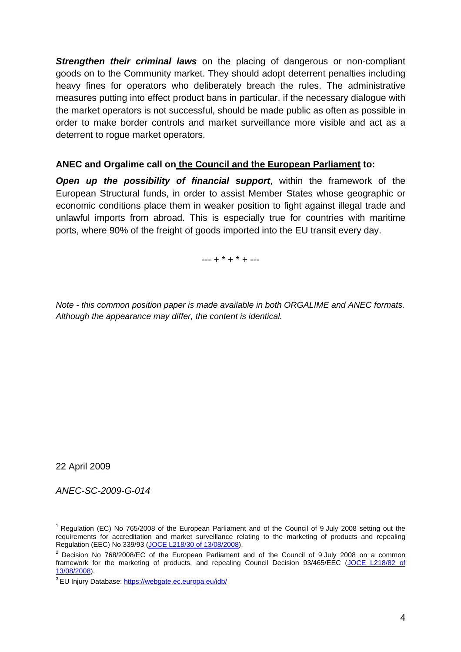**Strengthen their criminal laws** on the placing of dangerous or non-compliant goods on to the Community market. They should adopt deterrent penalties including heavy fines for operators who deliberately breach the rules. The administrative measures putting into effect product bans in particular, if the necessary dialogue with the market operators is not successful, should be made public as often as possible in order to make border controls and market surveillance more visible and act as a deterrent to rogue market operators.

#### **ANEC and Orgalime call on the Council and the European Parliament to:**

*Open up the possibility of financial support*, within the framework of the European Structural funds, in order to assist Member States whose geographic or economic conditions place them in weaker position to fight against illegal trade and unlawful imports from abroad. This is especially true for countries with maritime ports, where 90% of the freight of goods imported into the EU transit every day.

 $-- + * + * + ---$ 

*Note - this common position paper is made available in both ORGALIME and ANEC formats. Although the appearance may differ, the content is identical.* 

22 April 2009

*ANEC-SC-2009-G-014* 

<sup>&</sup>lt;sup>1</sup> Regulation (EC) No 765/2008 of the European Parliament and of the Council of 9 July 2008 setting out the requirements for accreditation and market surveillance relating to the marketing of products and repealing Regulation (EEC) No 339/93 ([JOCE L218/30 of 13/08/2008](http://eur-lex.europa.eu/LexUriServ/LexUriServ.do?uri=OJ:L:2008:218:0030:0047:EN:PDF)).

 $2$  Decision No 768/2008/EC of the European Parliament and of the Council of 9 July 2008 on a common framework for the marketing of products, and repealing Council Decision 93/465/EEC [\(JOCE L218/82 of](http://eur-lex.europa.eu/LexUriServ/LexUriServ.do?uri=OJ:L:2008:218:0082:0128:EN:PDF) 13/08/2008).

<sup>&</sup>lt;sup>3</sup> EU Injury Database:<https://webgate.ec.europa.eu/idb/>